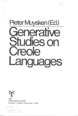# **Pieter Muysken (Ed.)** Generative **Idies on** renle **Languages**

 $2 \n\circ$ 



1981 **FORIS PUBLICATIONS Dordrecht - Holland / Cinnaminson - U.S.A.**

 $I_n$ , Sp.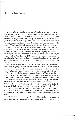## Introduction

This volume brings together a number of studies which try to cope with data from Creole (and in a few cases, Pidgin) languages from a generative point of view. As such its aim is two-fold: to interest scholars and students working on Pidgin and Creole languages in recent work in generative linguistics; and to interest people who have been part of the mainstream of generative linguistics in new types of insights which can emerge from the study of Pidgin and Creole languages as evolving and dynamic systems.

Many serious scholars specialized in Pidgin and Creole linguistics have considered the generative paradigm to be hopelessly inadequate, for two reasons. Not only did they consider that artificial rigidity and uniformity were imposed on complex and variable data (as several critics have charged with regard to Beryl Bailey's 1966 generative grammar of Jamaican basilect), but also that structures directly imported from English were imposed on languages which diverge markedly from the European mold (see Roberts, 1975).

Most generativeists, on the other hand, have shied away from Pidgin and Creole languages because of the variability hinted at or described in the literature. This situation may be changing somewhat as generative theory is becoming more focussed on intra- and interlinguistic variation.

The resulting relative independence of the study of Pidgins and Creoles from the generative paradigm has led to a number of refreshing insights into the complexity of Creole grammatical phenomena. On the other hand, we find that their analysis has remained relatively shallow, in spite of a feverish interest in the field over the last ten years or so. In contrast, the contribution of Pidgin and Creole linguistics to various brances of sociolinguistics, particularly variation theory, has been considerable and profound.

This volume originated under the conviction that the study of Pidgin and Creole languages constitutes an important part of the research program of generative grammar for three reasons, which merit some discussion here.

First, an analysis of the stages through which a Pidgin develops into a native language, a Creole, can give us insights into the minimal require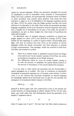ments for natural languages. Within the generative paradigm the process of creolization is seen in mentalistic terms. Systems of communication which have had a parasitic and grammatically peripheral status as Pidgins or other secondary uses, acquire native speakers. This means that they will have to adapt so as to be definable by the language acquisition device (cf. Naro, 1973). No matter what the Pidgin ancestor was like, the Creole will have to be learnable by the child. Since within the generative paradigm language acquisition is seen as an interaction between imperfect data input and a complex set of hypotheses on the part of the child, the process of creolization can give us direct insight into what kinds of hypotheses the child will formulate.

An alternative view of minimal adequacy conditions on natural languages appears in Labov (1971) and Sankoff & Laberge (1973). These articles are the beginning of a series of papers within a functionalist paradigm, and have in common that they focus on the position of natural languages within the speech community, and their adequacy as systems of daily communication. This paradigm, which has centered on data from Tok Pisin, has stressed two points:

- (a) There is no sudden break or qualitative jump between the Pidgin (non-native) and Creole (native) variaties of Tok Pisin, but rather an increase in complexity as the Pidgin develops.
- (b) The differences which do occur are mostly stylistic, having to do with the amount of variability the system allows (Labov) or the amount of redundancy of the system (Sankoff & Laberge).

It is not clear to what extent the generative and the functionalist research paradigms are in conflict. The type of conditions on learnability formulated in generative grammar are of necessity quite abstract. Furthermore, it is not obvious that structural conditions on natural languages are necessarily distinct from functional ones. To give but one example, the emergence of *ia* bracketed relative clauses in Tok Pisin:

$$
[\text{NP } ia \ [s \ \ldots \ldots \ldots \ldots \ldots \ldots \ldots \ldots]
$$

Sankoff & Brown argue that this construction is due to the specific discourse function of foregrounding in relative clauses (1976). On the other hand, one could claim that this development shows the generality of aa simple X' expansion rule as:

 $X''$   $\rightarrow$   $X''$  *ia* 

where X ranges over N and V. The fact that Tok Pisin relative clauses are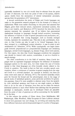#### *Introduction* VII

optionally bracketed by two *ia's* would then be relevant from the point of view of discourse, but from the point of view of the syntax, relativization results from the interaction of several independent processes, among them the generation of X" determiners.

A second contribution the study of Pidgin and Creole languages can make to the generative research program is in the domain of a theory of markedness. While most earlier theorizing on this point had assumed that Pidgins, given their reduced nature, represented unmarked systems, this idea is not tenable, and Bickerton (1975) launched the idea that Creole systems represent the unmarked case. If we believe that grammatical markedness develops in languages through lexical accretion, borrowing, the influence of factors of ease of speech perception and production, etc., then it is plausible that 'young languages', such as recently emerged Creoles, represent the unmarked case. This idea is also problematic, however, in that Creoles can also be said to be 'mixed' languages, that is, they emerged in a multilingual contact situation. A case in point is verb serialization (cf. Schachter, 1974). While typologically one might distinguish between prepositional (or postpositional) languages and serializing languages, several Creole languages, e.g. Sranan Tongo, show both systems. For this reason, the idea that Creole languages constitute the unmarked case should be treated with caution; nonetheless, it can be a fruitful research strategy.

The third contribution is in the field of variation. Many Creole languages have as oppressed languages undergone the influence of dominant languages spoken in the same area, but what makes the case of Creoles special is that these languages are often lexically closely related to the Creole in question. The result is that we find very complex speech communities, where a continuum of varieties is spoken ranging from the original Creole to a colonial standard. An example is Jamaica, but there are many more such cases (cf. DeCamp, 1971). The extreme variability which goes far beyond the lexical and the phonological, even in the range of speech styles of individual speakers, poses particular problems for generative grammar. Even if it were possible to abstract away from the variability with individual speakers, and focus on one single system, as Bailey tried to do in the case of Jamaican, how then can we relate the various individual systems to each other? Rather than claiming that the generative paradigm is inadequate, models can be developed which are plausible from the point of view of grammar as well as accounting for the variability in the data.

In this volume the articles of Glenn Akers, Peter Muhlhausler, Bill Washabaugh, Ellen Woolford, Hilda Koopman & Claire Lefebvre attempt to show how grammars vary and change, by providing and analyzing data from different historical and developmental stages of a number of languages.